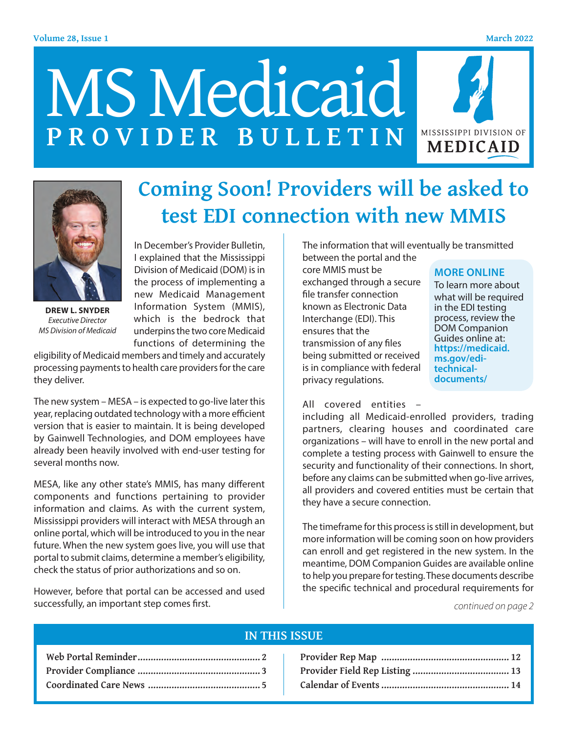#### **Volume 28, Issue 1 March 2022**

# MS Medicaid **PROVIDER BULLETIN**





**DREW L. SNYDER** *Executive Director MS Division of Medicaid*

In December's Provider Bulletin, I explained that the Mississippi Division of Medicaid (DOM) is in the process of implementing a new Medicaid Management Information System (MMIS), which is the bedrock that underpins the two core Medicaid functions of determining the

eligibility of Medicaid members and timely and accurately processing payments to health care providers for the care they deliver.

The new system – MESA – is expected to go-live later this year, replacing outdated technology with a more efficient version that is easier to maintain. It is being developed by Gainwell Technologies, and DOM employees have already been heavily involved with end-user testing for several months now.

MESA, like any other state's MMIS, has many different components and functions pertaining to provider information and claims. As with the current system, Mississippi providers will interact with MESA through an online portal, which will be introduced to you in the near future. When the new system goes live, you will use that portal to submit claims, determine a member's eligibility, check the status of prior authorizations and so on.

However, before that portal can be accessed and used successfully, an important step comes first.

# **Coming Soon! Providers will be asked to test EDI connection with new MMIS**

The information that will eventually be transmitted

between the portal and the core MMIS must be exchanged through a secure file transfer connection known as Electronic Data Interchange (EDI). This ensures that the transmission of any files being submitted or received is in compliance with federal privacy regulations.

#### **MORE ONLINE**

To learn more about what will be required in the EDI testing process, review the DOM Companion Guides online at: **https://medicaid. ms.gov/editechnicaldocuments/**

All covered entities –

including all Medicaid-enrolled providers, trading partners, clearing houses and coordinated care organizations – will have to enroll in the new portal and complete a testing process with Gainwell to ensure the security and functionality of their connections. In short, before any claims can be submitted when go-live arrives, all providers and covered entities must be certain that they have a secure connection.

The timeframe for this process is still in development, but more information will be coming soon on how providers can enroll and get registered in the new system. In the meantime, DOM Companion Guides are available online to help you prepare for testing. These documents describe the specific technical and procedural requirements for

*continued on page 2*

#### **IN THIS ISSUE**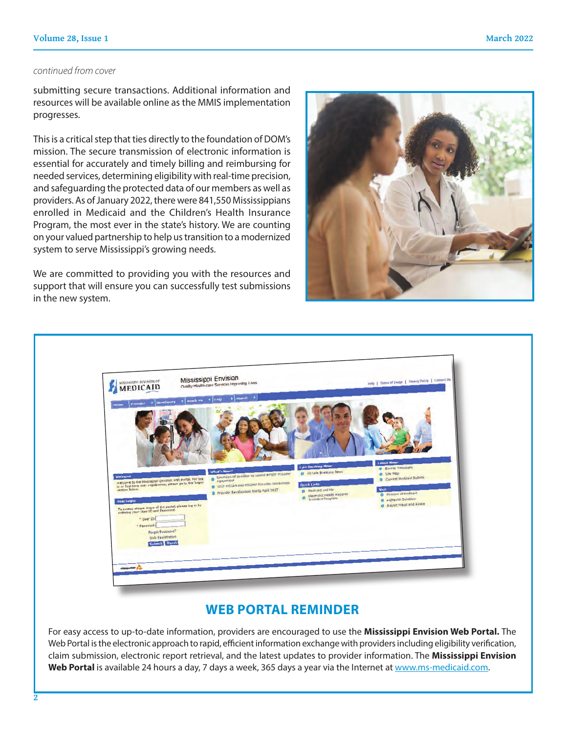#### *continued from cover*

submitting secure transactions. Additional information and resources will be available online as the MMIS implementation progresses.

This is a critical step that ties directly to the foundation of DOM's mission. The secure transmission of electronic information is essential for accurately and timely billing and reimbursing for needed services, determining eligibility with real-time precision, and safeguarding the protected data of our members as well as providers. As of January 2022, there were 841,550 Mississippians enrolled in Medicaid and the Children's Health Insurance Program, the most ever in the state's history. We are counting on your valued partnership to help us transition to a modernized system to serve Mississippi's growing needs.

We are committed to providing you with the resources and support that will ensure you can successfully test submissions in the new system.





### **WEB PORTAL REMINDER**

For easy access to up-to-date information, providers are encouraged to use the **Mississippi Envision Web Portal.** The Web Portal is the electronic approach to rapid, efficient information exchange with providers including eligibility verification, claim submission, electronic report retrieval, and the latest updates to provider information. The **Mississippi Envision**  Web Portal is available 24 hours a day, 7 days a week, 365 days a year via the Internet at www.ms-medicaid.com.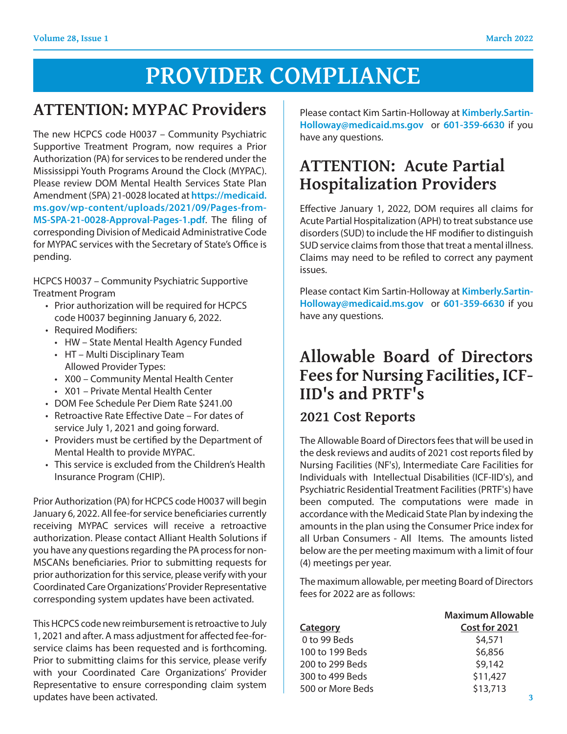# **PROVIDER COMPLIANCE**

### **ATTENTION: MYPAC Providers**

The new HCPCS code H0037 – Community Psychiatric Supportive Treatment Program, now requires a Prior Authorization (PA) for services to be rendered under the Mississippi Youth Programs Around the Clock (MYPAC). Please review DOM Mental Health Services State Plan Amendment (SPA) 21-0028 located at **https://medicaid. ms.gov/wp-content/uploads/2021/09/Pages-from-MS-SPA-21-0028-Approval-Pages-1.pdf**. The filing of corresponding Division of Medicaid Administrative Code for MYPAC services with the Secretary of State's Office is pending.

HCPCS H0037 – Community Psychiatric Supportive Treatment Program

- Prior authorization will be required for HCPCS code H0037 beginning January 6, 2022.
- Required Modifiers:
	- HW State Mental Health Agency Funded
	- HT Multi Disciplinary Team Allowed Provider Types:
	- X00 Community Mental Health Center
	- X01 Private Mental Health Center
- DOM Fee Schedule Per Diem Rate \$241.00
- Retroactive Rate Effective Date For dates of service July 1, 2021 and going forward.
- Providers must be certified by the Department of Mental Health to provide MYPAC.
- This service is excluded from the Children's Health Insurance Program (CHIP).

Prior Authorization (PA) for HCPCS code H0037 will begin January 6, 2022. All fee-for service beneficiaries currently receiving MYPAC services will receive a retroactive authorization. Please contact Alliant Health Solutions if you have any questions regarding the PA process for non-MSCANs beneficiaries. Prior to submitting requests for prior authorization for this service, please verify with your Coordinated Care Organizations' Provider Representative corresponding system updates have been activated.

This HCPCS code new reimbursement is retroactive to July 1, 2021 and after. A mass adjustment for affected fee-forservice claims has been requested and is forthcoming. Prior to submitting claims for this service, please verify with your Coordinated Care Organizations' Provider Representative to ensure corresponding claim system updates have been activated.

Please contact Kim Sartin-Holloway at **Kimberly.Sartin-Holloway@medicaid.ms.gov** or **601-359-6630** if you have any questions.

## **ATTENTION: Acute Partial Hospitalization Providers**

Effective January 1, 2022, DOM requires all claims for Acute Partial Hospitalization (APH) to treat substance use disorders (SUD) to include the HF modifier to distinguish SUD service claims from those that treat a mental illness. Claims may need to be refiled to correct any payment issues.

Please contact Kim Sartin-Holloway at **Kimberly.Sartin-Holloway@medicaid.ms.gov** or **601-359-6630** if you have any questions.

### **Allowable Board of Directors Fees for Nursing Facilities, ICF-IID's and PRTF's**

### **2021 Cost Reports**

The Allowable Board of Directors fees that will be used in the desk reviews and audits of 2021 cost reports filed by Nursing Facilities (NF's), Intermediate Care Facilities for Individuals with Intellectual Disabilities (ICF-IID's), and Psychiatric Residential Treatment Facilities (PRTF's) have been computed. The computations were made in accordance with the Medicaid State Plan by indexing the amounts in the plan using the Consumer Price index for all Urban Consumers - All Items. The amounts listed below are the per meeting maximum with a limit of four (4) meetings per year.

The maximum allowable, per meeting Board of Directors fees for 2022 are as follows:

| <b>Maximum Allowable</b> |
|--------------------------|
| Cost for 2021            |
| \$4,571                  |
| \$6,856                  |
| \$9,142                  |
| \$11,427                 |
| \$13,713                 |
|                          |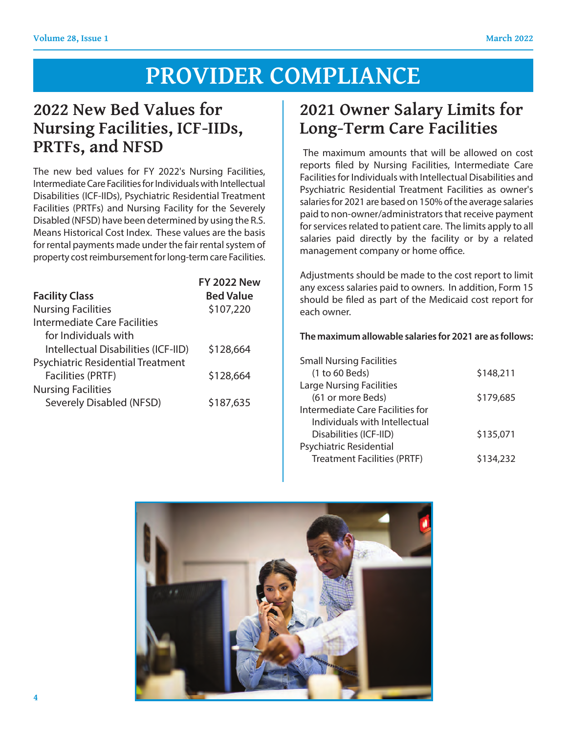# **PROVIDER COMPLIANCE**

### **2022 New Bed Values for Nursing Facilities, ICF-IIDs, PRTFs, and NFSD**

The new bed values for FY 2022's Nursing Facilities, Intermediate Care Facilities for Individuals with Intellectual Disabilities (ICF-IIDs), Psychiatric Residential Treatment Facilities (PRTFs) and Nursing Facility for the Severely Disabled (NFSD) have been determined by using the R.S. Means Historical Cost Index. These values are the basis for rental payments made under the fair rental system of property cost reimbursement for long-term care Facilities.

|                                          | <b>FY 2022 New</b> |
|------------------------------------------|--------------------|
| <b>Facility Class</b>                    | <b>Bed Value</b>   |
| <b>Nursing Facilities</b>                | \$107,220          |
| Intermediate Care Facilities             |                    |
| for Individuals with                     |                    |
| Intellectual Disabilities (ICF-IID)      | \$128,664          |
| <b>Psychiatric Residential Treatment</b> |                    |
| <b>Facilities (PRTF)</b>                 | \$128,664          |
| <b>Nursing Facilities</b>                |                    |
| <b>Severely Disabled (NFSD)</b>          | \$187,635          |
|                                          |                    |

# **2021 Owner Salary Limits for Long-Term Care Facilities**

 The maximum amounts that will be allowed on cost reports filed by Nursing Facilities, Intermediate Care Facilities for Individuals with Intellectual Disabilities and Psychiatric Residential Treatment Facilities as owner's salaries for 2021 are based on 150% of the average salaries paid to non-owner/administrators that receive payment for services related to patient care. The limits apply to all salaries paid directly by the facility or by a related management company or home office.

Adjustments should be made to the cost report to limit any excess salaries paid to owners. In addition, Form 15 should be filed as part of the Medicaid cost report for each owner.

#### **The maximum allowable salaries for 2021 are as follows:**

| <b>Small Nursing Facilities</b>    |           |
|------------------------------------|-----------|
| (1 to 60 Beds)                     | \$148,211 |
| <b>Large Nursing Facilities</b>    |           |
| (61 or more Beds)                  | \$179,685 |
| Intermediate Care Facilities for   |           |
| Individuals with Intellectual      |           |
| Disabilities (ICF-IID)             | \$135,071 |
| Psychiatric Residential            |           |
| <b>Treatment Facilities (PRTF)</b> | \$134,232 |

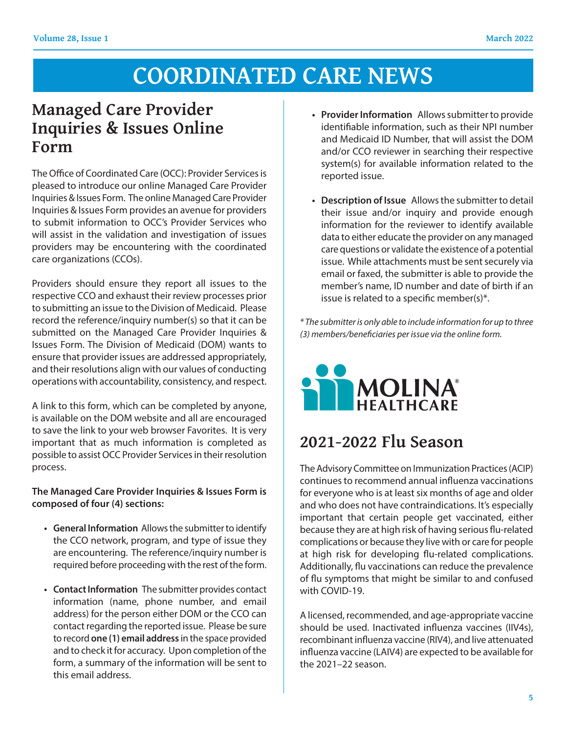### **Managed Care Provider Inquiries & Issues Online Form**

The Office of Coordinated Care (OCC): Provider Services is pleased to introduce our online Managed Care Provider Inquiries & Issues Form. The online Managed Care Provider Inquiries & Issues Form provides an avenue for providers to submit information to OCC's Provider Services who will assist in the validation and investigation of issues providers may be encountering with the coordinated care organizations (CCOs).

Providers should ensure they report all issues to the respective CCO and exhaust their review processes prior to submitting an issue to the Division of Medicaid. Please record the reference/inquiry number(s) so that it can be submitted on the Managed Care Provider Inquiries & Issues Form. The Division of Medicaid (DOM) wants to ensure that provider issues are addressed appropriately, and their resolutions align with our values of conducting operations with accountability, consistency, and respect.

A link to this form, which can be completed by anyone, is available on the DOM website and all are encouraged to save the link to your web browser Favorites. It is very important that as much information is completed as possible to assist OCC Provider Services in their resolution process.

#### **The Managed Care Provider Inquiries & Issues Form is composed of four (4) sections:**

- **• General Information** Allows the submitter to identify the CCO network, program, and type of issue they are encountering. The reference/inquiry number is required before proceeding with the rest of the form.
- **• Contact Information** The submitter provides contact information (name, phone number, and email address) for the person either DOM or the CCO can contact regarding the reported issue. Please be sure to record **one (1) email address** in the space provided and to check it for accuracy. Upon completion of the form, a summary of the information will be sent to this email address.
- **• Provider Information** Allows submitter to provide identifiable information, such as their NPI number and Medicaid ID Number, that will assist the DOM and/or CCO reviewer in searching their respective system(s) for available information related to the reported issue.
- **• Description of Issue** Allows the submitter to detail their issue and/or inquiry and provide enough information for the reviewer to identify available data to either educate the provider on any managed care questions or validate the existence of a potential issue. While attachments must be sent securely via email or faxed, the submitter is able to provide the member's name, ID number and date of birth if an issue is related to a specific member(s)\*.

*\* The submitter is only able to include information for up to three (3) members/beneficiaries per issue via the online form.*



## **2021-2022 Flu Season**

The Advisory Committee on Immunization Practices (ACIP) continues to recommend annual influenza vaccinations for everyone who is at least six months of age and older and who does not have contraindications. It's especially important that certain people get vaccinated, either because they are at high risk of having serious flu-related complications or because they live with or care for people at high risk for developing flu-related complications. Additionally, flu vaccinations can reduce the prevalence of flu symptoms that might be similar to and confused with COVID-19.

A licensed, recommended, and age-appropriate vaccine should be used. Inactivated influenza vaccines (IIV4s), recombinant influenza vaccine (RIV4), and live attenuated influenza vaccine (LAIV4) are expected to be available for the 2021–22 season.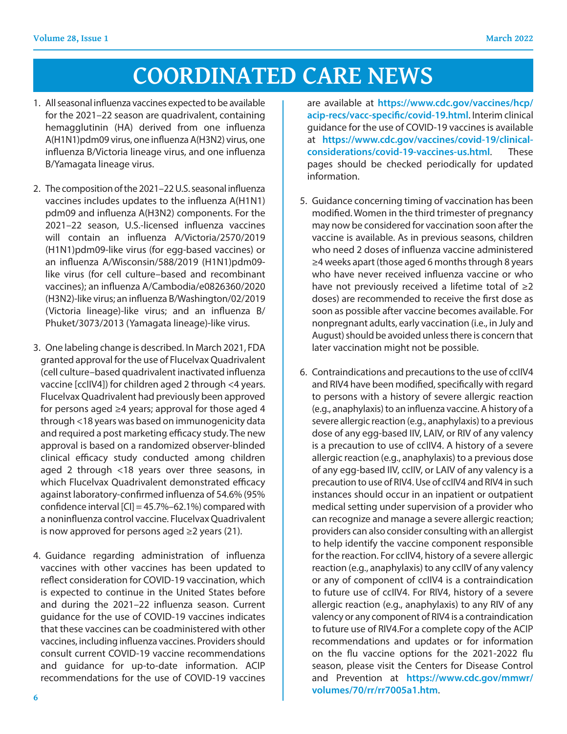- 1. All seasonal influenza vaccines expected to be available for the 2021–22 season are quadrivalent, containing hemagglutinin (HA) derived from one influenza A(H1N1)pdm09 virus, one influenza A(H3N2) virus, one influenza B/Victoria lineage virus, and one influenza B/Yamagata lineage virus.
- 2. The composition of the 2021–22 U.S. seasonal influenza vaccines includes updates to the influenza A(H1N1) pdm09 and influenza A(H3N2) components. For the 2021–22 season, U.S.-licensed influenza vaccines will contain an influenza A/Victoria/2570/2019 (H1N1)pdm09-like virus (for egg-based vaccines) or an influenza A/Wisconsin/588/2019 (H1N1)pdm09 like virus (for cell culture–based and recombinant vaccines); an influenza A/Cambodia/e0826360/2020 (H3N2)-like virus; an influenza B/Washington/02/2019 (Victoria lineage)-like virus; and an influenza B/ Phuket/3073/2013 (Yamagata lineage)-like virus.
- 3. One labeling change is described. In March 2021, FDA granted approval for the use of Flucelvax Quadrivalent (cell culture–based quadrivalent inactivated influenza vaccine [ccIIV4]) for children aged 2 through <4 years. Flucelvax Quadrivalent had previously been approved for persons aged ≥4 years; approval for those aged 4 through <18 years was based on immunogenicity data and required a post marketing efficacy study. The new approval is based on a randomized observer-blinded clinical efficacy study conducted among children aged 2 through <18 years over three seasons, in which Flucelvax Quadrivalent demonstrated efficacy against laboratory-confirmed influenza of 54.6% (95% confidence interval [CI] = 45.7%–62.1%) compared with a noninfluenza control vaccine. Flucelvax Quadrivalent is now approved for persons aged  $\geq$  years (21).
- 4. Guidance regarding administration of influenza vaccines with other vaccines has been updated to reflect consideration for COVID-19 vaccination, which is expected to continue in the United States before and during the 2021–22 influenza season. Current guidance for the use of COVID-19 vaccines indicates that these vaccines can be coadministered with other vaccines, including influenza vaccines. Providers should consult current COVID-19 vaccine recommendations and guidance for up-to-date information. ACIP recommendations for the use of COVID-19 vaccines

are available at **https://www.cdc.gov/vaccines/hcp/ acip-recs/vacc-specific/covid-19.html**. Interim clinical guidance for the use of COVID-19 vaccines is available at **https://www.cdc.gov/vaccines/covid-19/clinicalconsiderations/covid-19-vaccines-us.html**. These pages should be checked periodically for updated information.

- 5. Guidance concerning timing of vaccination has been modified. Women in the third trimester of pregnancy may now be considered for vaccination soon after the vaccine is available. As in previous seasons, children who need 2 doses of influenza vaccine administered ≥4 weeks apart (those aged 6 months through 8 years who have never received influenza vaccine or who have not previously received a lifetime total of  $\geq 2$ doses) are recommended to receive the first dose as soon as possible after vaccine becomes available. For nonpregnant adults, early vaccination (i.e., in July and August) should be avoided unless there is concern that later vaccination might not be possible.
- 6. Contraindications and precautions to the use of ccIIV4 and RIV4 have been modified, specifically with regard to persons with a history of severe allergic reaction (e.g., anaphylaxis) to an influenza vaccine. A history of a severe allergic reaction (e.g., anaphylaxis) to a previous dose of any egg-based IIV, LAIV, or RIV of any valency is a precaution to use of ccIIV4. A history of a severe allergic reaction (e.g., anaphylaxis) to a previous dose of any egg-based IIV, ccIIV, or LAIV of any valency is a precaution to use of RIV4. Use of ccIIV4 and RIV4 in such instances should occur in an inpatient or outpatient medical setting under supervision of a provider who can recognize and manage a severe allergic reaction; providers can also consider consulting with an allergist to help identify the vaccine component responsible for the reaction. For ccIIV4, history of a severe allergic reaction (e.g., anaphylaxis) to any ccIIV of any valency or any of component of ccIIV4 is a contraindication to future use of ccIIV4. For RIV4, history of a severe allergic reaction (e.g., anaphylaxis) to any RIV of any valency or any component of RIV4 is a contraindication to future use of RIV4.For a complete copy of the ACIP recommendations and updates or for information on the flu vaccine options for the 2021-2022 flu season, please visit the Centers for Disease Control and Prevention at **https://www.cdc.gov/mmwr/ volumes/70/rr/rr7005a1.htm**.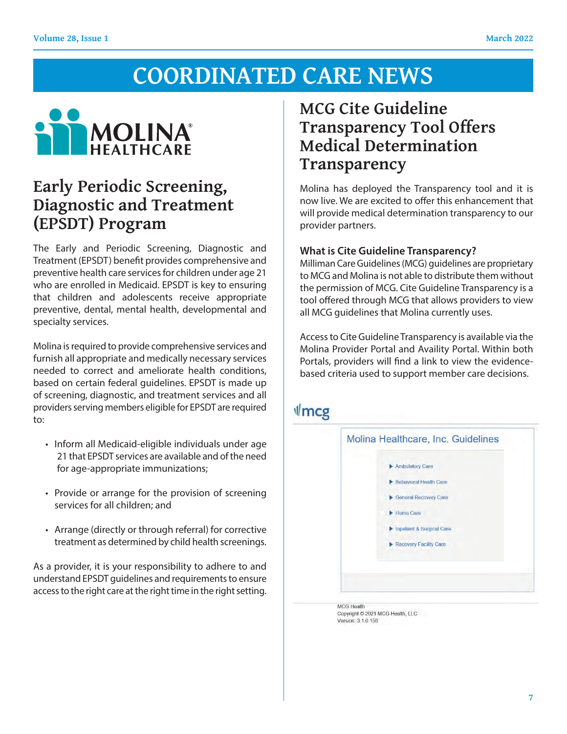

### **Early Periodic Screening,** Molina has deployed the Transparency tool and it is Diagnostic and Treatment **(EPSDT) Program**

The Early and Periodic Screening, Diagnostic and Treatment (EPSDT) benefit provides comprehensive and Milliman Care Guidelines (MCG) quidelines are propr preventive health care services for children under age 21 and Molination to our provider medical determination<br>To MCG and Molina is not able to distribute them without the multiple services of the multiple of the multiple who are enrolled in Medicaid. EPSDT is key to ensuring that children and adolescents receive appropriate preventive, dental, mental health, developmental and<br>specialty services specialty services.

Molina is required to provide comprehensive services and furnish all appropriate and medically necessary services and a portals, providers will find a link to view the evidenceneeded to correct and ameliorate health conditions, based on certain federal guidelines. EPSDT is made up of screening, diagnostic, and treatment services and all providers serving members eligible for EPSDT are required to:

- Inform all Medicaid-eligible individuals under age 21 that EPSDT services are available and of the need for age-appropriate immunizations;
- Provide or arrange for the provision of screening services for all children; and
- Arrange (directly or through referral) for corrective treatment as determined by child health screenings.

As a provider, it is your responsibility to adhere to and understand EPSDT guidelines and requirements to ensure access to the right care at the right time in the right setting.

### **MCG Cite Guideline Transparency Tool Offers Medical Determination Transparency**

**Molina has deployed the Transparency tool and it is The movelus of the excited to offer this enhancement that increase with a surface that the surface of the surface of the surface of the surface of the surface of the surface of the surface of the surface of the surface of** will provide medical determination transparency to our provider partners.

### **What is Cite Guideline Transparency?**

example and Milliman Care Guidelines (MCG) guidelines are proprietary ge 21 to MCG and Molina is not able to distribute them without the permission of MCG. Cite Guideline Transparency is a tool offered through MCG that allows providers to view all MCG guidelines that Molina currently uses.

Enterpretent and the contract of the Guideline Transparency is available via the Molina Provider Portal and Availity Portal. Within both vices Portals, providers will find a link to view the evidencebased criteria used to support member care decisions.

### $\sqrt{m}$ cg



**MCG Health** Copyright © 2021 MCG Health, LLC Version: 3 1.0 156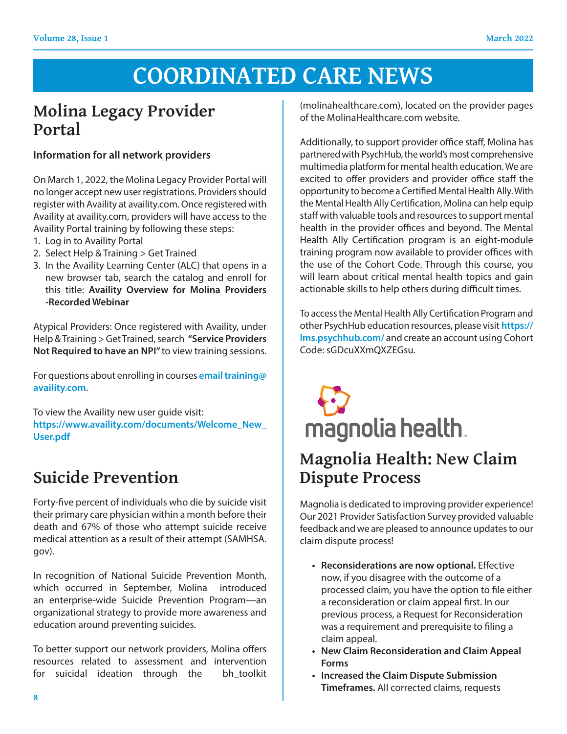# **Molina Legacy Provider Portal**

### **Information for all network providers**

On March 1, 2022, the Molina Legacy Provider Portal will no longer accept new user registrations. Providers should register with Availity at availity.com. Once registered with Availity at availity.com, providers will have access to the Availity Portal training by following these steps:

- 1. Log in to Availity Portal
- 2. Select Help & Training > Get Trained
- 3. In the Availity Learning Center (ALC) that opens in a new browser tab, search the catalog and enroll for this title: **Availity Overview for Molina Providers -Recorded Webinar**

Atypical Providers: Once registered with Availity, under Help & Training > Get Trained, search **"Service Providers Not Required to have an NPI"** to view training sessions.

For questions about enrolling in courses **email training@ availity.com**.

To view the Availity new user guide visit: **https://www.availity.com/documents/Welcome\_New\_ User.pdf**

# **Suicide Prevention**

Forty-five percent of individuals who die by suicide visit their primary care physician within a month before their death and 67% of those who attempt suicide receive medical attention as a result of their attempt (SAMHSA. gov).

In recognition of National Suicide Prevention Month, which occurred in September, Molina introduced an enterprise-wide Suicide Prevention Program—an organizational strategy to provide more awareness and education around preventing suicides.

To better support our network providers, Molina offers resources related to assessment and intervention for suicidal ideation through the bh\_toolkit (molinahealthcare.com), located on the provider pages of the MolinaHealthcare.com website.

Additionally, to support provider office staff, Molina has partnered with PsychHub, the world's most comprehensive multimedia platform for mental health education. We are excited to offer providers and provider office staff the opportunity to become a Certified Mental Health Ally. With the Mental Health Ally Certification, Molina can help equip staff with valuable tools and resources to support mental health in the provider offices and beyond. The Mental Health Ally Certification program is an eight-module training program now available to provider offices with the use of the Cohort Code. Through this course, you will learn about critical mental health topics and gain actionable skills to help others during difficult times.

To access the Mental Health Ally Certification Program and other PsychHub education resources, please visit **https:// lms.psychhub.com/** and create an account using Cohort Code: sGDcuXXmQXZEGsu.

# magnolia health.

## **Magnolia Health: New Claim Dispute Process**

Magnolia is dedicated to improving provider experience! Our 2021 Provider Satisfaction Survey provided valuable feedback and we are pleased to announce updates to our claim dispute process!

- **Reconsiderations are now optional.** Effective now, if you disagree with the outcome of a processed claim, you have the option to file either a reconsideration or claim appeal first. In our previous process, a Request for Reconsideration was a requirement and prerequisite to filing a claim appeal.
- **New Claim Reconsideration and Claim Appeal Forms**
- **Increased the Claim Dispute Submission Timeframes.** All corrected claims, requests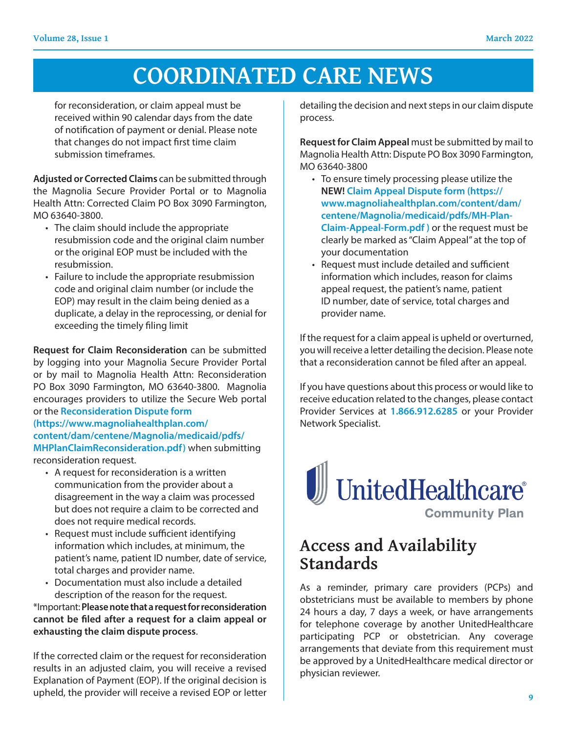for reconsideration, or claim appeal must be received within 90 calendar days from the date of notification of payment or denial. Please note that changes do not impact first time claim submission timeframes.

**Adjusted or Corrected Claims** can be submitted through the Magnolia Secure Provider Portal or to Magnolia Health Attn: Corrected Claim PO Box 3090 Farmington, MO 63640-3800.

- The claim should include the appropriate resubmission code and the original claim number or the original EOP must be included with the resubmission.
- Failure to include the appropriate resubmission code and original claim number (or include the EOP) may result in the claim being denied as a duplicate, a delay in the reprocessing, or denial for exceeding the timely filing limit

**Request for Claim Reconsideration** can be submitted by logging into your Magnolia Secure Provider Portal or by mail to Magnolia Health Attn: Reconsideration PO Box 3090 Farmington, MO 63640-3800. Magnolia encourages providers to utilize the Secure Web portal or the **Reconsideration Dispute form** 

**(https://www.magnoliahealthplan.com/ content/dam/centene/Magnolia/medicaid/pdfs/ MHPlanClaimReconsideration.pdf)** when submitting reconsideration request.

- A request for reconsideration is a written communication from the provider about a disagreement in the way a claim was processed but does not require a claim to be corrected and does not require medical records.
- Request must include sufficient identifying information which includes, at minimum, the patient's name, patient ID number, date of service, total charges and provider name.
- Documentation must also include a detailed description of the reason for the request.

\*Important: **Please note that a request for reconsideration cannot be filed after a request for a claim appeal or exhausting the claim dispute process**.

If the corrected claim or the request for reconsideration results in an adjusted claim, you will receive a revised Explanation of Payment (EOP). If the original decision is upheld, the provider will receive a revised EOP or letter

detailing the decision and next steps in our claim dispute process.

**Request for Claim Appeal** must be submitted by mail to Magnolia Health Attn: Dispute PO Box 3090 Farmington, MO 63640-3800

- To ensure timely processing please utilize the **NEW! Claim Appeal Dispute form (https:// www.magnoliahealthplan.com/content/dam/ centene/Magnolia/medicaid/pdfs/MH-Plan-Claim-Appeal-Form.pdf )** or the request must be clearly be marked as "Claim Appeal" at the top of your documentation
- Request must include detailed and sufficient information which includes, reason for claims appeal request, the patient's name, patient ID number, date of service, total charges and provider name.

If the request for a claim appeal is upheld or overturned, you will receive a letter detailing the decision. Please note that a reconsideration cannot be filed after an appeal.

If you have questions about this process or would like to receive education related to the changes, please contact Provider Services at **1.866.912.6285** or your Provider Network Specialist.



## **Access and Availability Standards**

As a reminder, primary care providers (PCPs) and obstetricians must be available to members by phone 24 hours a day, 7 days a week, or have arrangements for telephone coverage by another UnitedHealthcare participating PCP or obstetrician. Any coverage arrangements that deviate from this requirement must be approved by a UnitedHealthcare medical director or physician reviewer.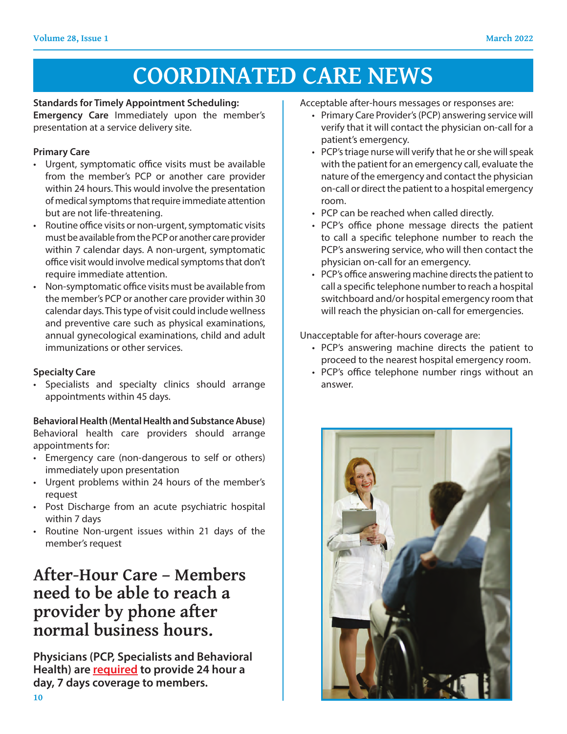#### **Standards for Timely Appointment Scheduling:**

**Emergency Care** Immediately upon the member's presentation at a service delivery site.

#### **Primary Care**

- Urgent, symptomatic office visits must be available from the member's PCP or another care provider within 24 hours. This would involve the presentation of medical symptoms that require immediate attention but are not life-threatening.
- Routine office visits or non-urgent, symptomatic visits must be available from the PCP or another care provider within 7 calendar days. A non-urgent, symptomatic office visit would involve medical symptoms that don't require immediate attention.
- Non-symptomatic office visits must be available from the member's PCP or another care provider within 30 calendar days. This type of visit could include wellness and preventive care such as physical examinations, annual gynecological examinations, child and adult immunizations or other services.

### **Specialty Care**

• Specialists and specialty clinics should arrange appointments within 45 days.

### **Behavioral Health (Mental Health and Substance Abuse)**

Behavioral health care providers should arrange appointments for:

- Emergency care (non-dangerous to self or others) immediately upon presentation
- Urgent problems within 24 hours of the member's request
- Post Discharge from an acute psychiatric hospital within 7 days
- Routine Non-urgent issues within 21 days of the member's request

### **After-Hour Care – Members need to be able to reach a provider by phone after normal business hours.**

**Physicians (PCP, Specialists and Behavioral Health) are required to provide 24 hour a day, 7 days coverage to members.** 

Acceptable after-hours messages or responses are:

- Primary Care Provider's (PCP) answering service will verify that it will contact the physician on-call for a patient's emergency.
- PCP's triage nurse will verify that he or she will speak with the patient for an emergency call, evaluate the nature of the emergency and contact the physician on-call or direct the patient to a hospital emergency room.
- PCP can be reached when called directly.
- PCP's office phone message directs the patient to call a specific telephone number to reach the PCP's answering service, who will then contact the physician on-call for an emergency.
- PCP's office answering machine directs the patient to call a specific telephone number to reach a hospital switchboard and/or hospital emergency room that will reach the physician on-call for emergencies.

Unacceptable for after-hours coverage are:

- PCP's answering machine directs the patient to proceed to the nearest hospital emergency room.
- PCP's office telephone number rings without an answer.

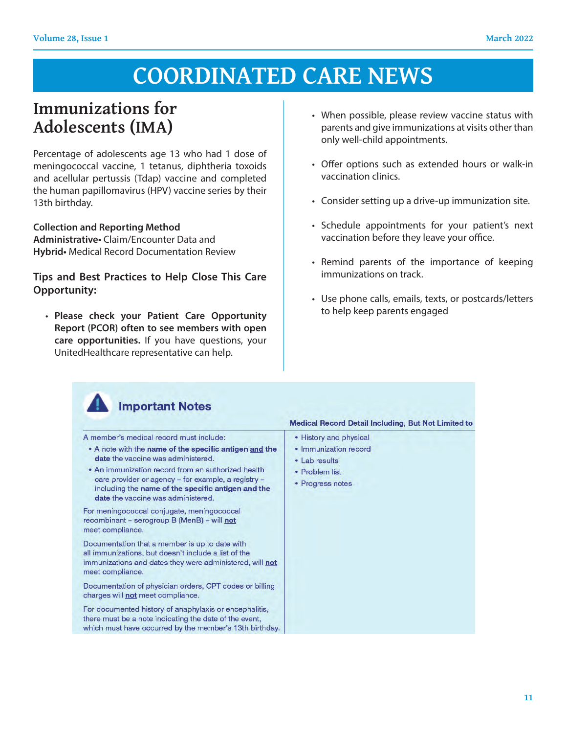## **Immunizations for Adolescents (IMA)**

Percentage of adolescents age 13 who had 1 dose of meningococcal vaccine, 1 tetanus, diphtheria toxoids and acellular pertussis (Tdap) vaccine and completed the human papillomavirus (HPV) vaccine series by their 13th birthday.

#### **Collection and Reporting Method**

**Administrative•** Claim/Encounter Data and **Hybrid•** Medical Record Documentation Review

### **Tips and Best Practices to Help Close This Care Opportunity:**

• Please check your Patient Care Opportunity **Report (PCOR) often to see members with open care opportunities.** If you have questions, your Let **component the collection** of the contract of the UnitedHealthcare representative can help. **Administrative**• Claim/Encounter Data and **Hybrid**• Medical Record Documentation Review

- When possible, please review vaccine status with parents and give immunizations at visits other than only well-child appointments.
- Offer options such as extended hours or walk-in vaccination clinics.
- Consider setting up a drive-up immunization site.
- Schedule appointments for your patient's next vaccination before they leave your office.
- Remind parents of the importance of keeping immunizations on track.
- Fercentage of a dose of the Use phone calls, emails, texts, or postcards/letters reacher vour Patient Care Opportunity (HPV) to help keep parents engaged

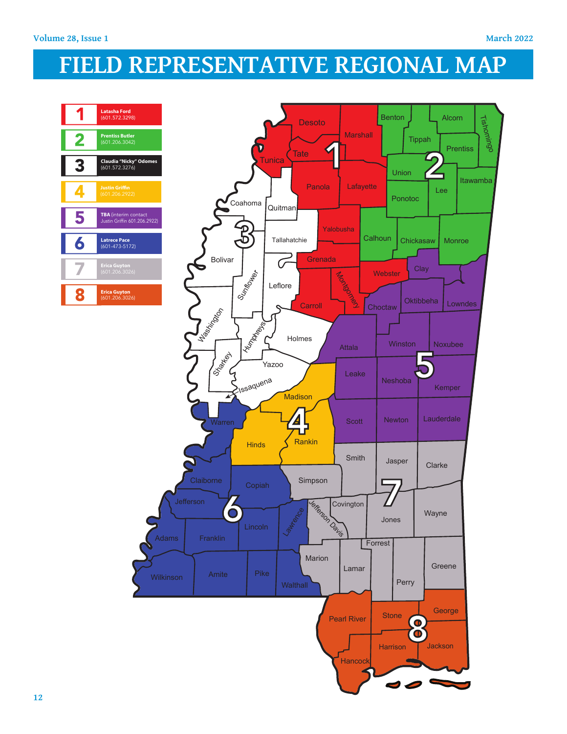# **FIELD REPRESENTATIVE REGIONAL MAP**



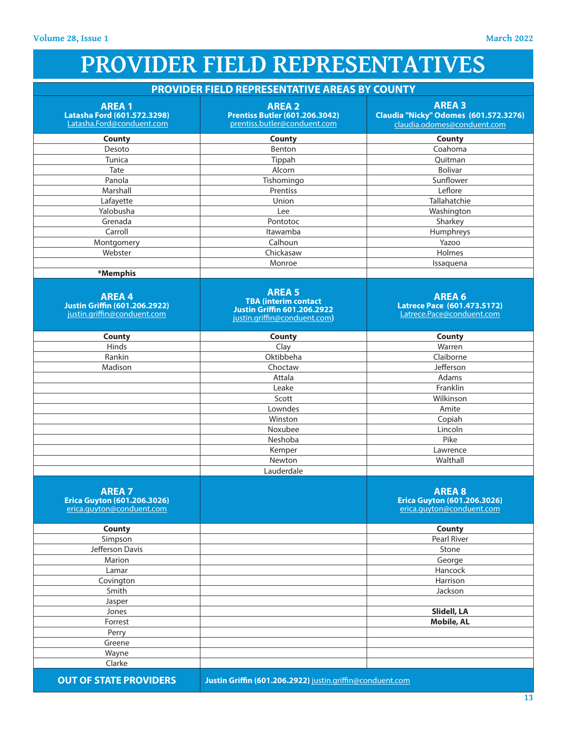# **PROVIDER FIELD REPRESENTATIVES**

| PROVIDER FIELD REPRESENTATIVE AREAS BY COUNTY                                       |                                                                                                                    |                                                                                       |
|-------------------------------------------------------------------------------------|--------------------------------------------------------------------------------------------------------------------|---------------------------------------------------------------------------------------|
| <b>AREA1</b><br>Latasha Ford (601.572.3298)<br>Latasha.Ford@conduent.com            | <b>AREA 2</b><br><b>Prentiss Butler (601.206.3042)</b><br>prentiss.butler@conduent.com                             | <b>AREA 3</b><br>Claudia "Nicky" Odomes (601.572.3276)<br>claudia.odomes@conduent.com |
| <b>County</b>                                                                       | County                                                                                                             | <b>County</b>                                                                         |
| Desoto                                                                              | Benton                                                                                                             | Coahoma                                                                               |
| Tunica                                                                              | Tippah                                                                                                             | Quitman                                                                               |
| Tate                                                                                | Alcorn                                                                                                             | Bolivar                                                                               |
| Panola                                                                              | Tishomingo                                                                                                         | Sunflower                                                                             |
| Marshall                                                                            | Prentiss                                                                                                           | Leflore                                                                               |
| Lafayette                                                                           | Union                                                                                                              | Tallahatchie                                                                          |
| Yalobusha                                                                           | Lee                                                                                                                | Washington                                                                            |
| Grenada                                                                             | Pontotoc                                                                                                           | Sharkey                                                                               |
| Carroll                                                                             | Itawamba                                                                                                           | Humphreys                                                                             |
| Montgomery                                                                          | Calhoun                                                                                                            | Yazoo                                                                                 |
| Webster                                                                             | Chickasaw                                                                                                          | Holmes                                                                                |
|                                                                                     | Monroe                                                                                                             | Issaquena                                                                             |
| *Memphis                                                                            |                                                                                                                    |                                                                                       |
| <b>AREA4</b><br><b>Justin Griffin (601.206.2922)</b><br>justin.griffin@conduent.com | <b>AREA 5</b><br><b>TBA (interim contact</b><br><b>Justin Griffin 601.206.2922</b><br>justin.griffin@conduent.com) | <b>AREA 6</b><br>Latrece Pace (601.473.5172)<br>Latrece.Pace@conduent.com             |
| <b>County</b>                                                                       | County                                                                                                             | County                                                                                |
| Hinds                                                                               | Clay                                                                                                               | Warren                                                                                |
| Rankin                                                                              | Oktibbeha                                                                                                          | Claiborne                                                                             |
| Madison                                                                             | Choctaw                                                                                                            | Jefferson                                                                             |
|                                                                                     | Attala                                                                                                             | Adams                                                                                 |
|                                                                                     | Leake                                                                                                              | Franklin                                                                              |
|                                                                                     | Scott                                                                                                              | Wilkinson                                                                             |
|                                                                                     | Lowndes                                                                                                            | Amite                                                                                 |
|                                                                                     | Winston                                                                                                            | Copiah                                                                                |
|                                                                                     | Noxubee                                                                                                            | Lincoln                                                                               |
|                                                                                     | Neshoba                                                                                                            | Pike                                                                                  |
|                                                                                     | Kemper                                                                                                             | Lawrence                                                                              |
|                                                                                     | Newton                                                                                                             | Walthall                                                                              |
|                                                                                     | Lauderdale                                                                                                         |                                                                                       |
| <b>AREA 7</b><br><b>Erica Guyton (601.206.3026)</b><br>erica.guyton@conduent.com    |                                                                                                                    | <b>AREA 8</b><br><b>Erica Guyton (601.206.3026)</b><br>erica.guyton@conduent.com      |
| <b>County</b>                                                                       |                                                                                                                    | <b>County</b>                                                                         |
| Simpson                                                                             |                                                                                                                    | Pearl River                                                                           |
| Jefferson Davis                                                                     |                                                                                                                    | Stone                                                                                 |
| Marion                                                                              |                                                                                                                    | George                                                                                |
| Lamar                                                                               |                                                                                                                    | Hancock                                                                               |
| Covington                                                                           |                                                                                                                    | Harrison                                                                              |
| Smith                                                                               |                                                                                                                    | Jackson                                                                               |
| Jasper                                                                              |                                                                                                                    |                                                                                       |
| Jones                                                                               |                                                                                                                    | Slidell, LA                                                                           |
| Forrest                                                                             |                                                                                                                    | <b>Mobile, AL</b>                                                                     |
| Perry                                                                               |                                                                                                                    |                                                                                       |
| Greene                                                                              |                                                                                                                    |                                                                                       |
| Wayne                                                                               |                                                                                                                    |                                                                                       |
| Clarke                                                                              |                                                                                                                    |                                                                                       |

**OUT OF STATE PROVIDERS Justin Griffin (601.206.2922)** justin.griffin@conduent.com